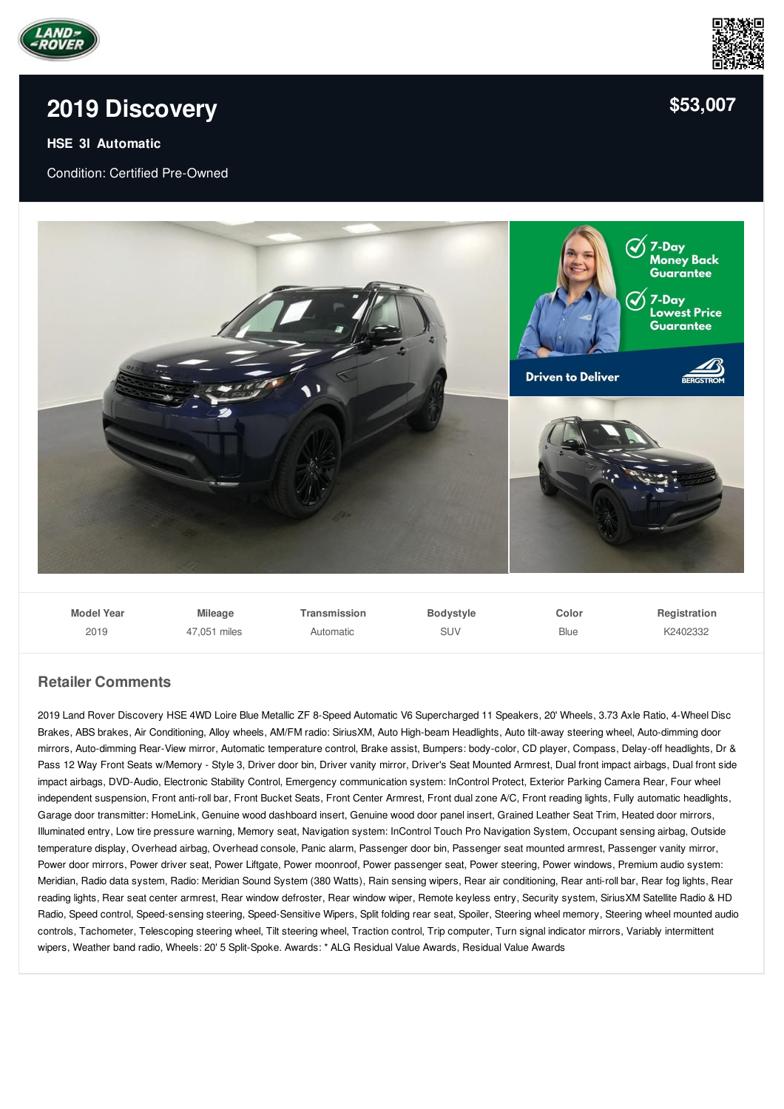

## **2019 [Discovery](/used-certified/pdf/)**

## **HSE 3l Automatic**

Condition: Certified Pre-Owned



| <b>Model Year</b> | <b>Mileage</b> | Transmission | <b>Bodystyle</b> | Color | Registration |
|-------------------|----------------|--------------|------------------|-------|--------------|
| 2019              | 47.051 miles   | Automatic    | SUV              | Blue  | K2402332     |

## **Retailer Comments**

2019 Land Rover Discovery HSE 4WD Loire Blue Metallic ZF 8-Speed Automatic V6 Supercharged 11 Speakers, 20' Wheels, 3.73 Axle Ratio, 4-Wheel Disc Brakes, ABS brakes, Air Conditioning, Alloy wheels, AM/FM radio: SiriusXM, Auto High-beam Headlights, Auto tilt-away steering wheel, Auto-dimming door mirrors, Auto-dimming Rear-View mirror, Automatic temperature control, Brake assist, Bumpers: body-color, CD player, Compass, Delay-off headlights, Dr & Pass 12 Way Front Seats w/Memory - Style 3, Driver door bin, Driver vanity mirror, Driver's Seat Mounted Armrest, Dual front impact airbags, Dual front side impact airbags, DVD-Audio, Electronic Stability Control, Emergency communication system: InControl Protect, Exterior Parking Camera Rear, Four wheel independent suspension, Front anti-roll bar, Front Bucket Seats, Front Center Armrest, Front dual zone A/C, Front reading lights, Fully automatic headlights, Garage door transmitter: HomeLink, Genuine wood dashboard insert, Genuine wood door panel insert, Grained Leather Seat Trim, Heated door mirrors, Illuminated entry, Low tire pressure warning, Memory seat, Navigation system: InControl Touch Pro Navigation System, Occupant sensing airbag, Outside temperature display, Overhead airbag, Overhead console, Panic alarm, Passenger door bin, Passenger seat mounted armrest, Passenger vanity mirror, Power door mirrors, Power driver seat, Power Liftgate, Power moonroof, Power passenger seat, Power steering, Power windows, Premium audio system: Meridian, Radio data system, Radio: Meridian Sound System (380 Watts), Rain sensing wipers, Rear air conditioning, Rear anti-roll bar, Rear fog lights, Rear reading lights, Rear seat center armrest, Rear window defroster, Rear window wiper, Remote keyless entry, Security system, SiriusXM Satellite Radio & HD Radio, Speed control, Speed-sensing steering, Speed-Sensitive Wipers, Split folding rear seat, Spoiler, Steering wheel memory, Steering wheel mounted audio controls, Tachometer, Telescoping steering wheel, Tilt steering wheel, Traction control, Trip computer, Turn signal indicator mirrors, Variably intermittent wipers, Weather band radio, Wheels: 20' 5 Split-Spoke. Awards: \* ALG Residual Value Awards, Residual Value Awards



**[\\$53,007](/used-certified/pdf/)**